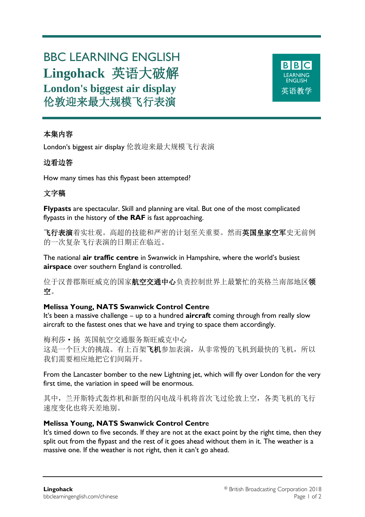# BBC LEARNING ENGLISH **Lingohack** 英语大破解 **London's biggest air display** 伦敦迎来最大规模飞行表演



## 本集内容

London's biggest air display 伦敦迎来最大规模飞行表演

## 边看边答

How many times has this flypast been attempted?

# 文字稿

**Flypasts** are spectacular. Skill and planning are vital. But one of the most complicated flypasts in the history of **the RAF** is fast approaching.

飞行表演着实壮观。高超的技能和严密的计划至关重要。然而英国皇家空军史无前例 的一次复杂飞行表演的日期正在临近。

The national **air traffic centre** in Swanwick in Hampshire, where the world's busiest **airspace** over southern England is controlled.

位于汉普郡斯旺威克的国家航空交通中心负责控制世界上最繁忙的英格兰南部地区领 空。

## **Melissa Young, NATS Swanwick Control Centre**

It's been a massive challenge – up to a hundred **aircraft** coming through from really slow aircraft to the fastest ones that we have and trying to space them accordingly.

梅利莎·扬 英国航空交通服务斯旺威克中心 这是一个巨大的挑战。有上百架飞机参加表演,从非常慢的飞机到最快的飞机,所以 我们需要相应地把它们间隔开。

From the Lancaster bomber to the new Lightning jet, which will fly over London for the very first time, the variation in speed will be enormous.

其中,兰开斯特式轰炸机和新型的闪电战斗机将首次飞过伦敦上空,各类飞机的飞行 速度变化也将天差地别。

## **Melissa Young, NATS Swanwick Control Centr**e

It's timed down to five seconds. If they are not at the exact point by the right time, then they split out from the flypast and the rest of it goes ahead without them in it. The weather is a massive one. If the weather is not right, then it can't go ahead.